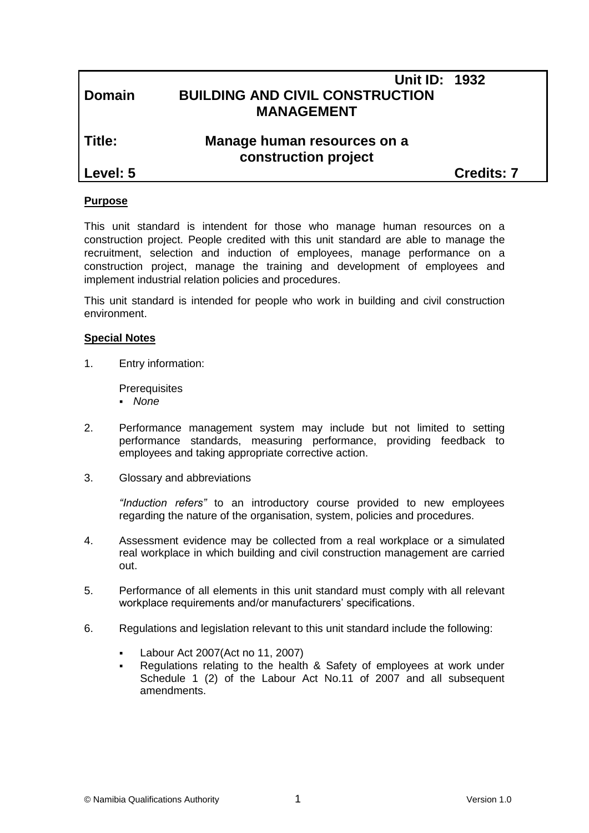## **Unit ID: 1932 Domain BUILDING AND CIVIL CONSTRUCTION MANAGEMENT**

# **Title: Manage human resources on a construction project**

**Level: 5 Credits: 7**

#### **Purpose**

This unit standard is intendent for those who manage human resources on a construction project. People credited with this unit standard are able to manage the recruitment, selection and induction of employees, manage performance on a construction project, manage the training and development of employees and implement industrial relation policies and procedures.

This unit standard is intended for people who work in building and civil construction environment.

#### **Special Notes**

1. Entry information:

**Prerequisites** 

- *None*
- 2. Performance management system may include but not limited to setting performance standards, measuring performance, providing feedback to employees and taking appropriate corrective action.
- 3. Glossary and abbreviations

*"Induction refers"* to an introductory course provided to new employees regarding the nature of the organisation, system, policies and procedures.

- 4. Assessment evidence may be collected from a real workplace or a simulated real workplace in which building and civil construction management are carried out.
- 5. Performance of all elements in this unit standard must comply with all relevant workplace requirements and/or manufacturers' specifications.
- 6. Regulations and legislation relevant to this unit standard include the following:
	- Labour Act 2007(Act no 11, 2007)
	- Regulations relating to the health & Safety of employees at work under Schedule 1 (2) of the Labour Act No.11 of 2007 and all subsequent amendments.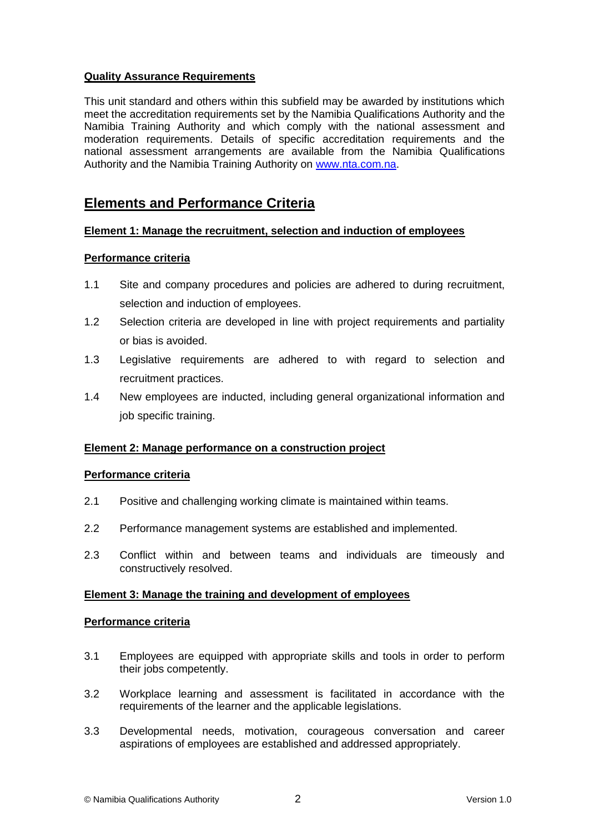#### **Quality Assurance Requirements**

This unit standard and others within this subfield may be awarded by institutions which meet the accreditation requirements set by the Namibia Qualifications Authority and the Namibia Training Authority and which comply with the national assessment and moderation requirements. Details of specific accreditation requirements and the national assessment arrangements are available from the Namibia Qualifications Authority and the Namibia Training Authority on [www.nta.com.na.](http://www.nta.com.na/)

## **Elements and Performance Criteria**

#### **Element 1: Manage the recruitment, selection and induction of employees**

#### **Performance criteria**

- 1.1 Site and company procedures and policies are adhered to during recruitment, selection and induction of employees.
- 1.2 Selection criteria are developed in line with project requirements and partiality or bias is avoided.
- 1.3 Legislative requirements are adhered to with regard to selection and recruitment practices.
- 1.4 New employees are inducted, including general organizational information and job specific training.

#### **Element 2: Manage performance on a construction project**

#### **Performance criteria**

- 2.1 Positive and challenging working climate is maintained within teams.
- 2.2 Performance management systems are established and implemented.
- 2.3 Conflict within and between teams and individuals are timeously and constructively resolved.

#### **Element 3: Manage the training and development of employees**

#### **Performance criteria**

- 3.1 Employees are equipped with appropriate skills and tools in order to perform their jobs competently.
- 3.2 Workplace learning and assessment is facilitated in accordance with the requirements of the learner and the applicable legislations.
- 3.3 Developmental needs, motivation, courageous conversation and career aspirations of employees are established and addressed appropriately.